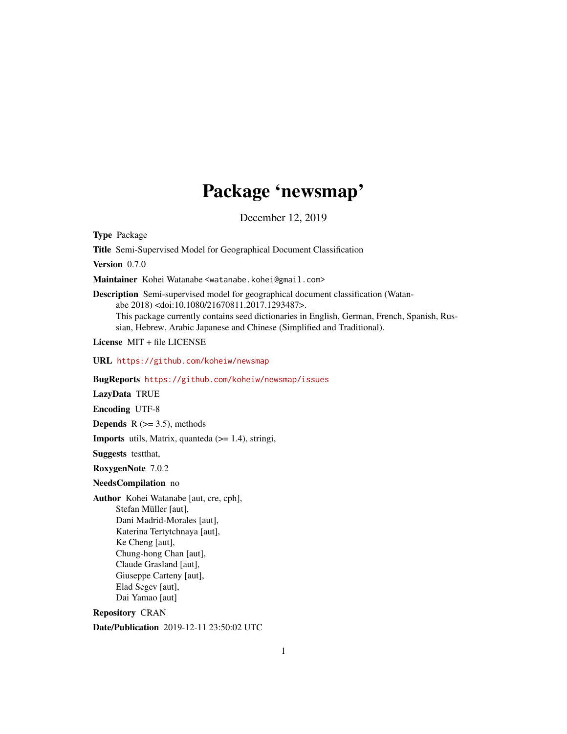## Package 'newsmap'

December 12, 2019

Type Package

Title Semi-Supervised Model for Geographical Document Classification

Version 0.7.0

Maintainer Kohei Watanabe <watanabe.kohei@gmail.com>

Description Semi-supervised model for geographical document classification (Watanabe 2018) <doi:10.1080/21670811.2017.1293487>. This package currently contains seed dictionaries in English, German, French, Spanish, Russian, Hebrew, Arabic Japanese and Chinese (Simplified and Traditional).

License MIT + file LICENSE

URL <https://github.com/koheiw/newsmap>

BugReports <https://github.com/koheiw/newsmap/issues>

LazyData TRUE

Encoding UTF-8

**Depends**  $R$  ( $>= 3.5$ ), methods

Imports utils, Matrix, quanteda (>= 1.4), stringi,

Suggests testthat,

RoxygenNote 7.0.2

#### NeedsCompilation no

Author Kohei Watanabe [aut, cre, cph], Stefan Müller [aut], Dani Madrid-Morales [aut], Katerina Tertytchnaya [aut], Ke Cheng [aut], Chung-hong Chan [aut], Claude Grasland [aut], Giuseppe Carteny [aut], Elad Segev [aut], Dai Yamao [aut]

Repository CRAN

Date/Publication 2019-12-11 23:50:02 UTC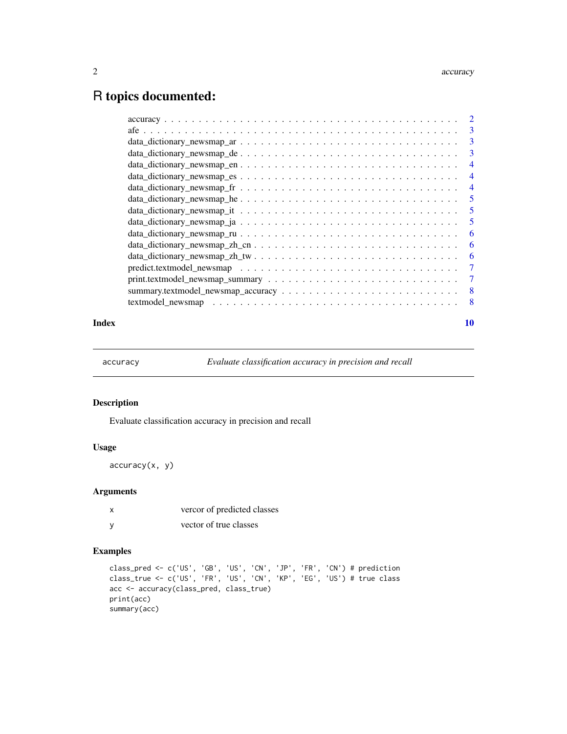### <span id="page-1-0"></span>R topics documented:

| Index |                                                                                                   | 10 |
|-------|---------------------------------------------------------------------------------------------------|----|
|       |                                                                                                   |    |
|       |                                                                                                   |    |
|       |                                                                                                   |    |
|       |                                                                                                   |    |
|       |                                                                                                   | -6 |
|       | $data\_dictionary\_newsmap\_zh\_cn \ldots \ldots \ldots \ldots \ldots \ldots \ldots \ldots$       | -6 |
|       |                                                                                                   | -6 |
|       |                                                                                                   |    |
|       |                                                                                                   |    |
|       |                                                                                                   |    |
|       | $data\_dictionary\_newsmap\_fr \dots \dots \dots \dots \dots \dots \dots \dots \dots \dots \dots$ |    |
|       |                                                                                                   |    |
|       |                                                                                                   |    |
|       |                                                                                                   |    |
|       |                                                                                                   |    |
|       |                                                                                                   |    |
|       |                                                                                                   |    |

accuracy *Evaluate classification accuracy in precision and recall*

#### Description

Evaluate classification accuracy in precision and recall

#### Usage

accuracy(x, y)

#### Arguments

x vercor of predicted classes y vector of true classes

#### Examples

```
class_pred <- c('US', 'GB', 'US', 'CN', 'JP', 'FR', 'CN') # prediction
class_true <- c('US', 'FR', 'US', 'CN', 'KP', 'EG', 'US') # true class
acc <- accuracy(class_pred, class_true)
print(acc)
summary(acc)
```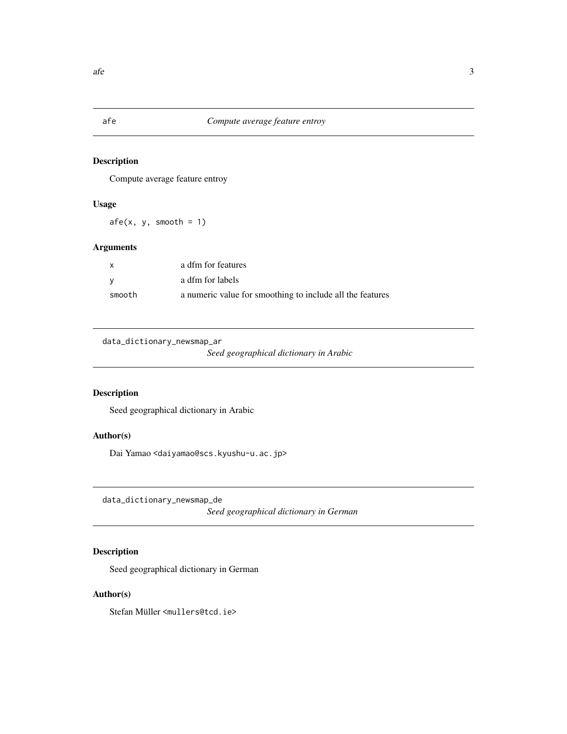#### <span id="page-2-0"></span>Description

Compute average feature entroy

#### Usage

 $afe(x, y, smooth = 1)$ 

#### Arguments

| $\mathsf{x}$ | a dfm for features                                        |
|--------------|-----------------------------------------------------------|
| <b>V</b>     | a dfm for labels                                          |
| smooth       | a numeric value for smoothing to include all the features |

```
data_dictionary_newsmap_ar
```
*Seed geographical dictionary in Arabic*

### Description

Seed geographical dictionary in Arabic

#### Author(s)

Dai Yamao <daiyamao@scs.kyushu-u.ac.jp>

data\_dictionary\_newsmap\_de

*Seed geographical dictionary in German*

### Description

Seed geographical dictionary in German

#### Author(s)

Stefan Müller <mullers@tcd.ie>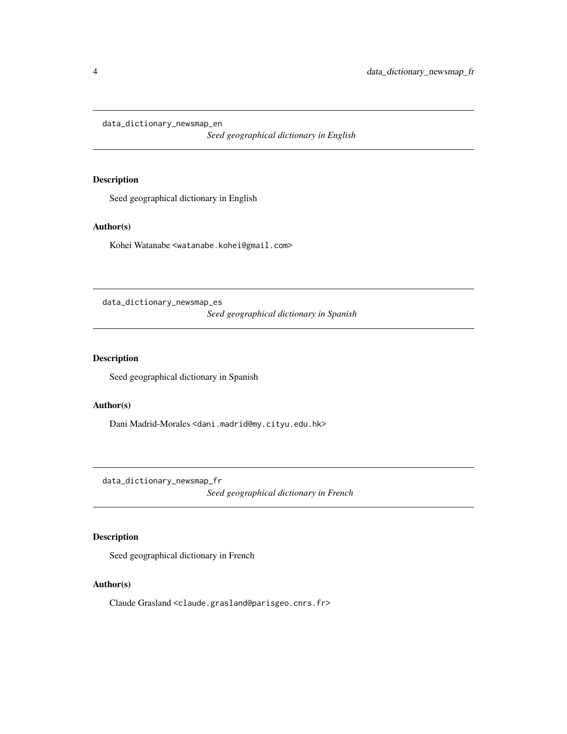<span id="page-3-0"></span>data\_dictionary\_newsmap\_en

*Seed geographical dictionary in English*

#### Description

Seed geographical dictionary in English

#### Author(s)

Kohei Watanabe <watanabe.kohei@gmail.com>

data\_dictionary\_newsmap\_es

*Seed geographical dictionary in Spanish*

#### Description

Seed geographical dictionary in Spanish

#### Author(s)

Dani Madrid-Morales <dani.madrid@my.cityu.edu.hk>

data\_dictionary\_newsmap\_fr

*Seed geographical dictionary in French*

#### Description

Seed geographical dictionary in French

#### Author(s)

Claude Grasland <claude.grasland@parisgeo.cnrs.fr>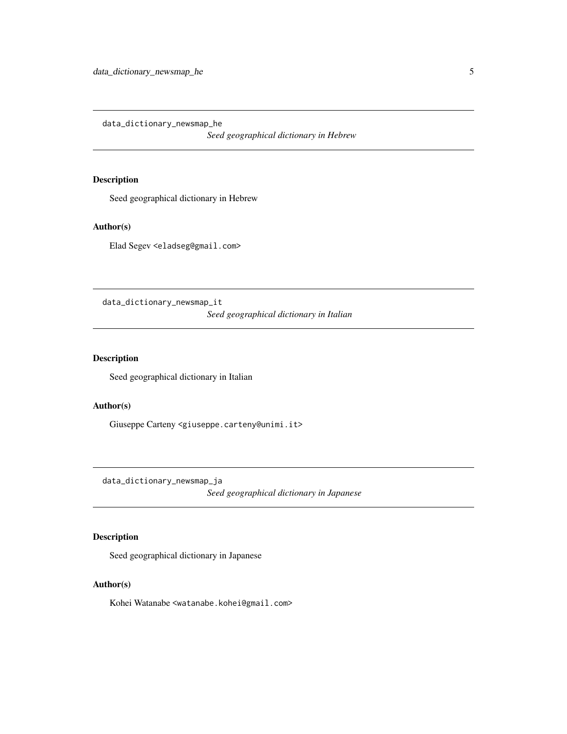<span id="page-4-0"></span>data\_dictionary\_newsmap\_he

*Seed geographical dictionary in Hebrew*

#### Description

Seed geographical dictionary in Hebrew

#### Author(s)

Elad Segev <eladseg@gmail.com>

data\_dictionary\_newsmap\_it

*Seed geographical dictionary in Italian*

#### Description

Seed geographical dictionary in Italian

#### Author(s)

Giuseppe Carteny <giuseppe.carteny@unimi.it>

data\_dictionary\_newsmap\_ja

*Seed geographical dictionary in Japanese*

#### Description

Seed geographical dictionary in Japanese

#### Author(s)

Kohei Watanabe <watanabe.kohei@gmail.com>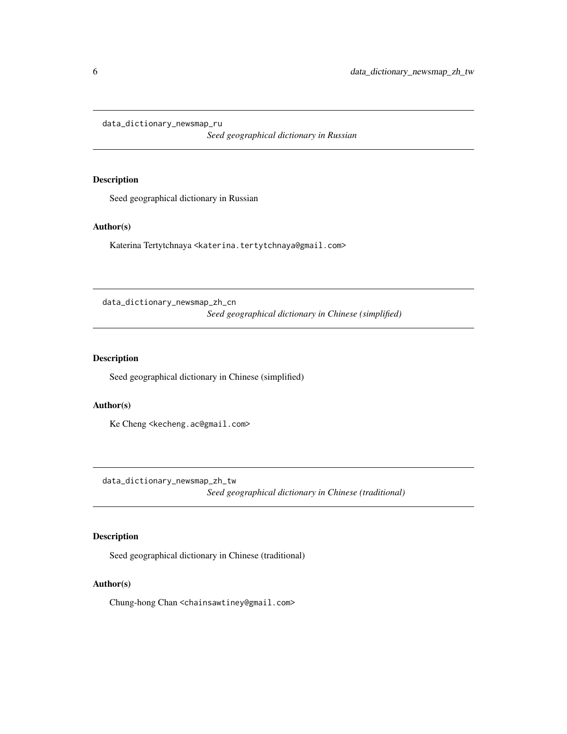<span id="page-5-0"></span>data\_dictionary\_newsmap\_ru

*Seed geographical dictionary in Russian*

#### Description

Seed geographical dictionary in Russian

#### Author(s)

Katerina Tertytchnaya <katerina.tertytchnaya@gmail.com>

data\_dictionary\_newsmap\_zh\_cn

*Seed geographical dictionary in Chinese (simplified)*

#### **Description**

Seed geographical dictionary in Chinese (simplified)

#### Author(s)

Ke Cheng <kecheng.ac@gmail.com>

data\_dictionary\_newsmap\_zh\_tw

*Seed geographical dictionary in Chinese (traditional)*

#### Description

Seed geographical dictionary in Chinese (traditional)

#### Author(s)

Chung-hong Chan <chainsawtiney@gmail.com>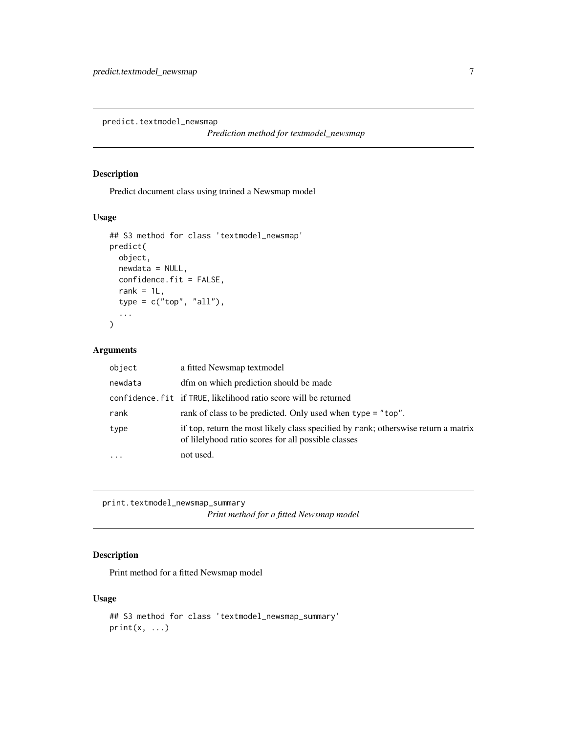<span id="page-6-0"></span>predict.textmodel\_newsmap

*Prediction method for textmodel\_newsmap*

#### Description

Predict document class using trained a Newsmap model

#### Usage

```
## S3 method for class 'textmodel_newsmap'
predict(
 object,
 newdata = NULL,
 confidence.fit = FALSE,
  rank = 1L,
  type = c("top", "all"),...
)
```
#### Arguments

| object  | a fitted Newsmap textmodel                                                                                                                 |
|---------|--------------------------------------------------------------------------------------------------------------------------------------------|
| newdata | dfm on which prediction should be made                                                                                                     |
|         | confidence. fit if TRUE, likelihood ratio score will be returned                                                                           |
| rank    | rank of class to be predicted. Only used when type = "top".                                                                                |
| type    | if top, return the most likely class specified by rank; other swise return a matrix<br>of lilelyhood ratio scores for all possible classes |
|         | not used.                                                                                                                                  |

print.textmodel\_newsmap\_summary *Print method for a fitted Newsmap model*

#### Description

Print method for a fitted Newsmap model

#### Usage

```
## S3 method for class 'textmodel_newsmap_summary'
print(x, \ldots)
```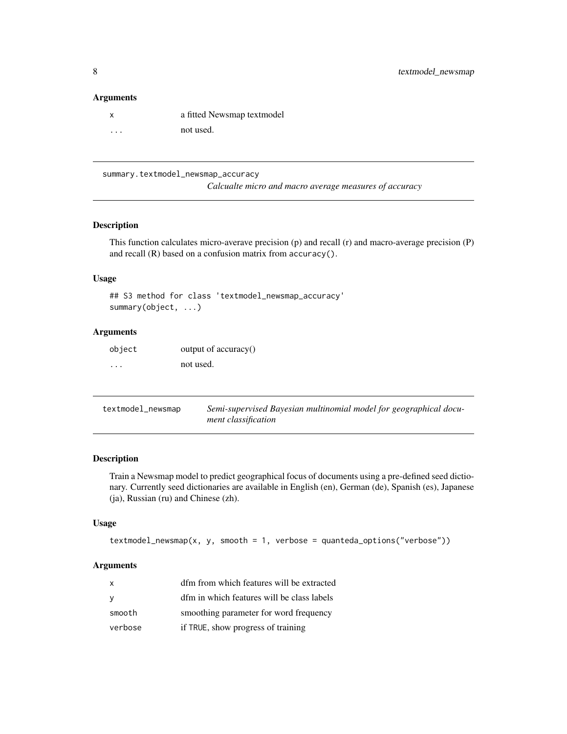#### <span id="page-7-0"></span>Arguments

| x | a fitted Newsmap textmodel |
|---|----------------------------|
| . | not used.                  |

summary.textmodel\_newsmap\_accuracy *Calcualte micro and macro average measures of accuracy*

#### Description

This function calculates micro-averave precision (p) and recall (r) and macro-average precision (P) and recall (R) based on a confusion matrix from accuracy().

#### Usage

```
## S3 method for class 'textmodel_newsmap_accuracy'
summary(object, ...)
```
#### Arguments

| object            | output of accuracy() |
|-------------------|----------------------|
| $\cdot\cdot\cdot$ | not used.            |

| textmodel_newsmap | Semi-supervised Bayesian multinomial model for geographical docu- |
|-------------------|-------------------------------------------------------------------|
|                   | ment classification                                               |

#### Description

Train a Newsmap model to predict geographical focus of documents using a pre-defined seed dictionary. Currently seed dictionaries are available in English (en), German (de), Spanish (es), Japanese (ja), Russian (ru) and Chinese (zh).

#### Usage

```
textmodel_newsmap(x, y, smooth = 1, verbose = quanteda_options("verbose"))
```
#### Arguments

| x       | dfm from which features will be extracted  |
|---------|--------------------------------------------|
| y       | dfm in which features will be class labels |
| smooth  | smoothing parameter for word frequency     |
| verbose | if TRUE, show progress of training         |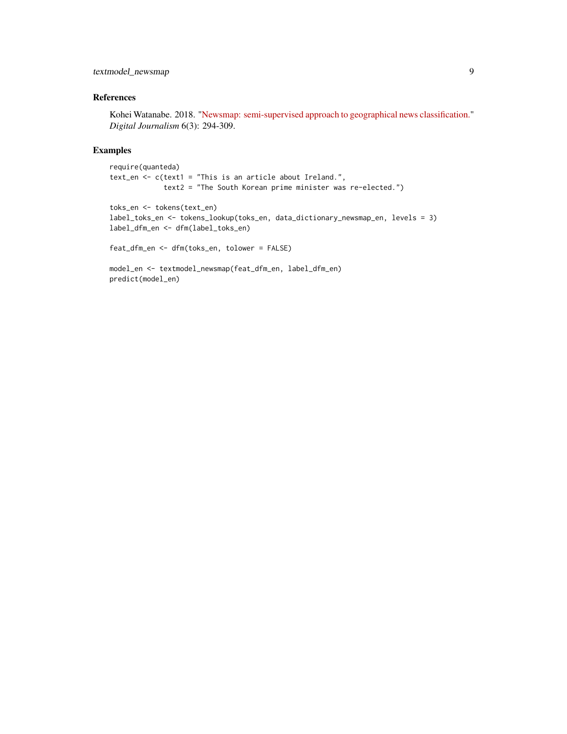textmodel\_newsmap 9

#### References

Kohei Watanabe. 2018. ["Newsmap: semi-supervised approach to geographical news classification."](http://www.tandfonline.com/eprint/dDeyUTBrhxBSSkHPn5uB/full) *Digital Journalism* 6(3): 294-309.

#### Examples

```
require(quanteda)
text_en <- c(text1 = "This is an article about Ireland.",
            text2 = "The South Korean prime minister was re-elected.")
toks_en <- tokens(text_en)
label_toks_en <- tokens_lookup(toks_en, data_dictionary_newsmap_en, levels = 3)
label_dfm_en <- dfm(label_toks_en)
feat_dfm_en <- dfm(toks_en, tolower = FALSE)
```

```
model_en <- textmodel_newsmap(feat_dfm_en, label_dfm_en)
predict(model_en)
```